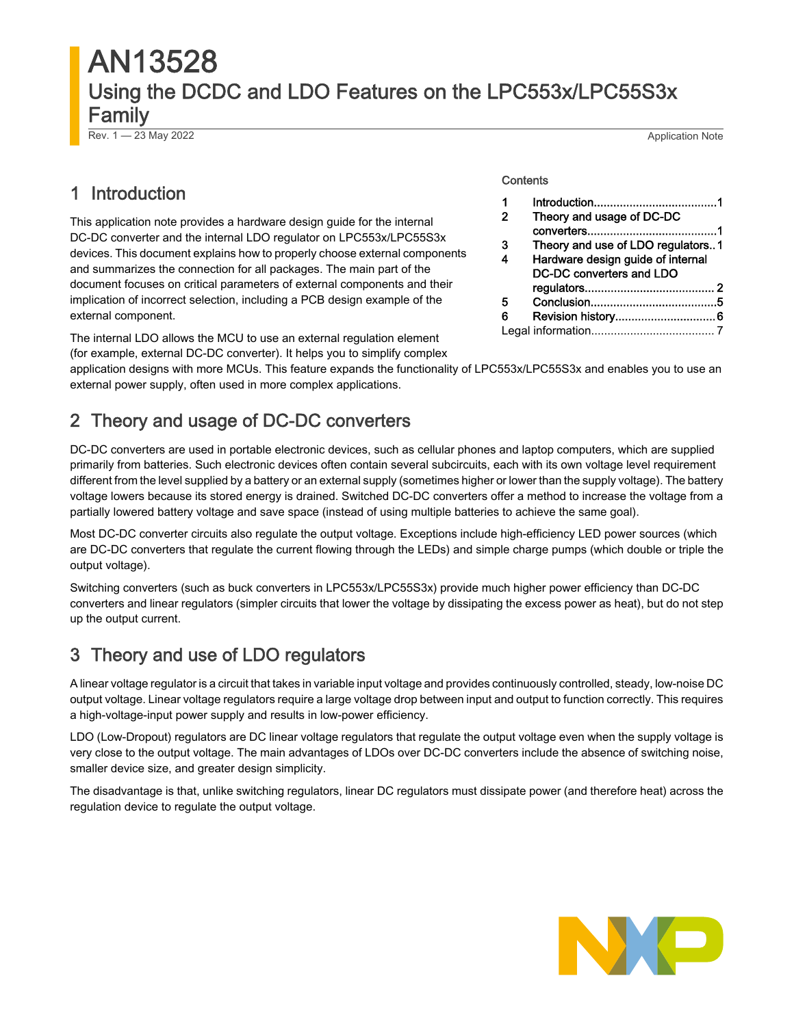# AN13528 Using the DCDC and LDO Features on the LPC553x/LPC55S3x Family

**Contents** 

Rev. 1 — 23 May 2022 Application Note

1 Introduction......................................1 2 Theory and usage of DC-DC

converters........................................1 3 Theory and use of LDO regulators..1 [4](#page-1-0) [Hardware design guide of internal](#page-1-0)  [DC-DC converters and LDO](#page-1-0) 

[regulators........................................](#page-1-0) 2 [5](#page-4-0) [Conclusion.......................................5](#page-4-0) [6](#page-5-0) [Revision history...............................6](#page-5-0) [Legal information......................................](#page-6-0) 7

## 1 Introduction

This application note provides a hardware design guide for the internal DC-DC converter and the internal LDO regulator on LPC553x/LPC55S3x devices. This document explains how to properly choose external components and summarizes the connection for all packages. The main part of the document focuses on critical parameters of external components and their implication of incorrect selection, including a PCB design example of the external component.

The internal LDO allows the MCU to use an external regulation element (for example, external DC-DC converter). It helps you to simplify complex

application designs with more MCUs. This feature expands the functionality of LPC553x/LPC55S3x and enables you to use an external power supply, often used in more complex applications.

# 2 Theory and usage of DC-DC converters

DC-DC converters are used in portable electronic devices, such as cellular phones and laptop computers, which are supplied primarily from batteries. Such electronic devices often contain several subcircuits, each with its own voltage level requirement different from the level supplied by a battery or an external supply (sometimes higher or lower than the supply voltage). The battery voltage lowers because its stored energy is drained. Switched DC-DC converters offer a method to increase the voltage from a partially lowered battery voltage and save space (instead of using multiple batteries to achieve the same goal).

Most DC-DC converter circuits also regulate the output voltage. Exceptions include high-efficiency LED power sources (which are DC-DC converters that regulate the current flowing through the LEDs) and simple charge pumps (which double or triple the output voltage).

Switching converters (such as buck converters in LPC553x/LPC55S3x) provide much higher power efficiency than DC-DC converters and linear regulators (simpler circuits that lower the voltage by dissipating the excess power as heat), but do not step up the output current.

## 3 Theory and use of LDO regulators

A linear voltage regulator is a circuit that takes in variable input voltage and provides continuously controlled, steady, low-noise DC output voltage. Linear voltage regulators require a large voltage drop between input and output to function correctly. This requires a high-voltage-input power supply and results in low-power efficiency.

LDO (Low-Dropout) regulators are DC linear voltage regulators that regulate the output voltage even when the supply voltage is very close to the output voltage. The main advantages of LDOs over DC-DC converters include the absence of switching noise, smaller device size, and greater design simplicity.

The disadvantage is that, unlike switching regulators, linear DC regulators must dissipate power (and therefore heat) across the regulation device to regulate the output voltage.

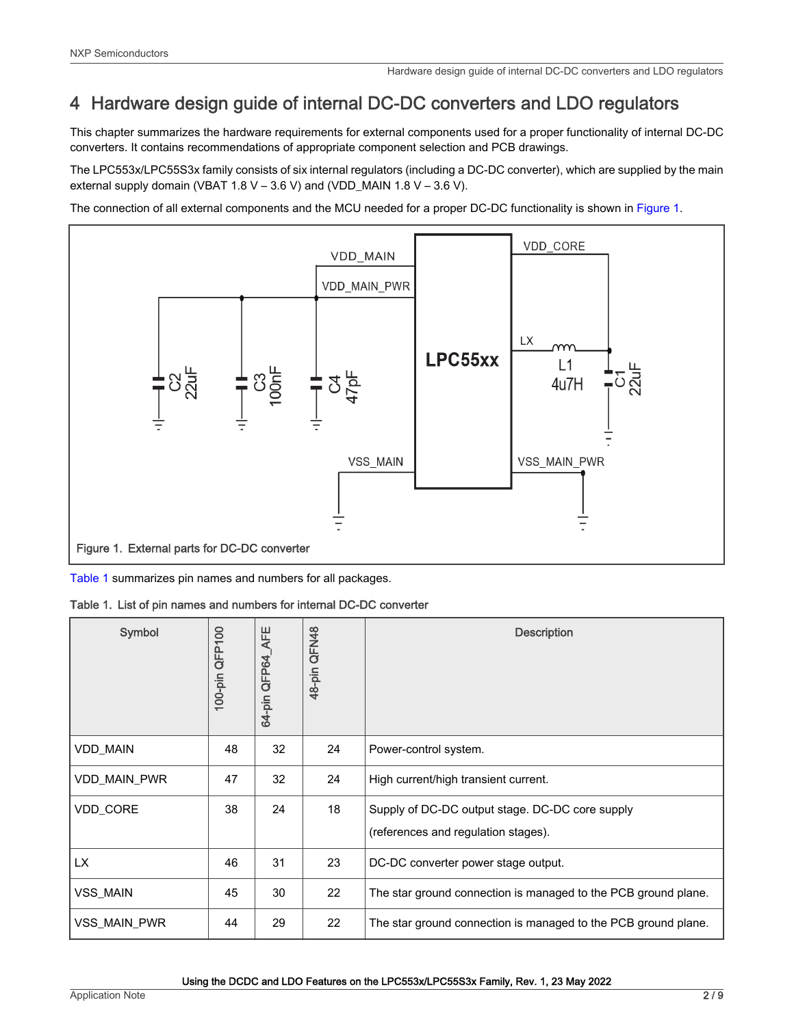## <span id="page-1-0"></span>4 Hardware design guide of internal DC-DC converters and LDO regulators

This chapter summarizes the hardware requirements for external components used for a proper functionality of internal DC-DC converters. It contains recommendations of appropriate component selection and PCB drawings.

The LPC553x/LPC55S3x family consists of six internal regulators (including a DC-DC converter), which are supplied by the main external supply domain (VBAT 1.8 V – 3.6 V) and (VDD\_MAIN 1.8 V – 3.6 V).

The connection of all external components and the MCU needed for a proper DC-DC functionality is shown in Figure 1.



Table 1 summarizes pin names and numbers for all packages.

Table 1. List of pin names and numbers for internal DC-DC converter

| Symbol              | QFP100<br>$100$ -pin | <b>AFE</b><br>64-pin QFP64 | 48-pin QFN48 | <b>Description</b>                                                                     |
|---------------------|----------------------|----------------------------|--------------|----------------------------------------------------------------------------------------|
| <b>VDD_MAIN</b>     | 48                   | 32                         | 24           | Power-control system.                                                                  |
| VDD_MAIN_PWR        | 47                   | 32                         | 24           | High current/high transient current.                                                   |
| VDD_CORE            | 38                   | 24                         | 18           | Supply of DC-DC output stage. DC-DC core supply<br>(references and regulation stages). |
| LX.                 | 46                   | 31                         | 23           | DC-DC converter power stage output.                                                    |
| <b>VSS MAIN</b>     | 45                   | 30                         | 22           | The star ground connection is managed to the PCB ground plane.                         |
| <b>VSS MAIN PWR</b> | 44                   | 29                         | 22           | The star ground connection is managed to the PCB ground plane.                         |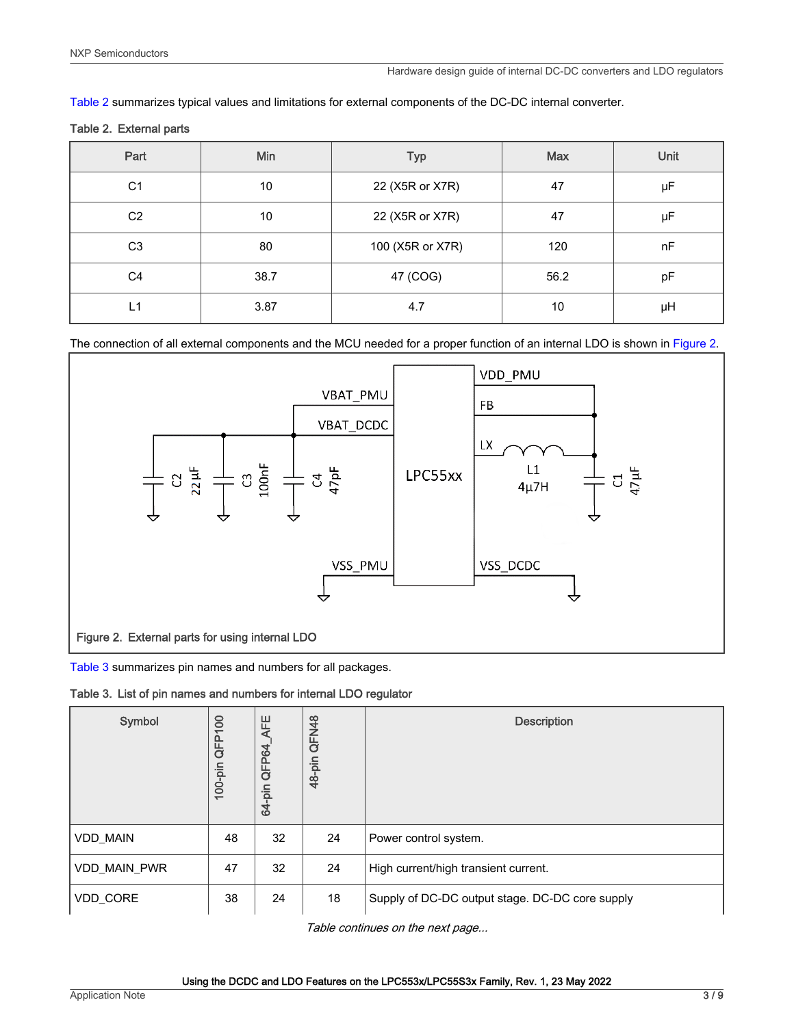Table 2 summarizes typical values and limitations for external components of the DC-DC internal converter.

|  |  | Table 2. External parts |  |
|--|--|-------------------------|--|
|--|--|-------------------------|--|

| Part           | Min  | <b>Typ</b>       | <b>Max</b> | Unit |
|----------------|------|------------------|------------|------|
| C <sub>1</sub> | 10   | 22 (X5R or X7R)  | 47         | μF   |
| C <sub>2</sub> | 10   | 22 (X5R or X7R)  | 47         | μF   |
| C <sub>3</sub> | 80   | 100 (X5R or X7R) | 120        | nF   |
| C <sub>4</sub> | 38.7 | 47 (COG)         | 56.2       | pF   |
| L1             | 3.87 | 4.7              | 10         | μH   |

The connection of all external components and the MCU needed for a proper function of an internal LDO is shown in Figure 2.



Table 3 summarizes pin names and numbers for all packages.

Table 3. List of pin names and numbers for internal LDO regulator

| Symbol              | 8<br>$\overline{\phantom{0}}$<br>QFP <sup>-</sup><br>$100$ -pin | AFE<br>QFP64<br>64-pin | QFN48<br>48-pin | <b>Description</b>                              |
|---------------------|-----------------------------------------------------------------|------------------------|-----------------|-------------------------------------------------|
| VDD_MAIN            | 48                                                              | 32                     | 24              | Power control system.                           |
| <b>VDD MAIN PWR</b> | 47                                                              | 32                     | 24              | High current/high transient current.            |
| VDD_CORE            | 38                                                              | 24                     | 18              | Supply of DC-DC output stage. DC-DC core supply |

Table continues on the next page...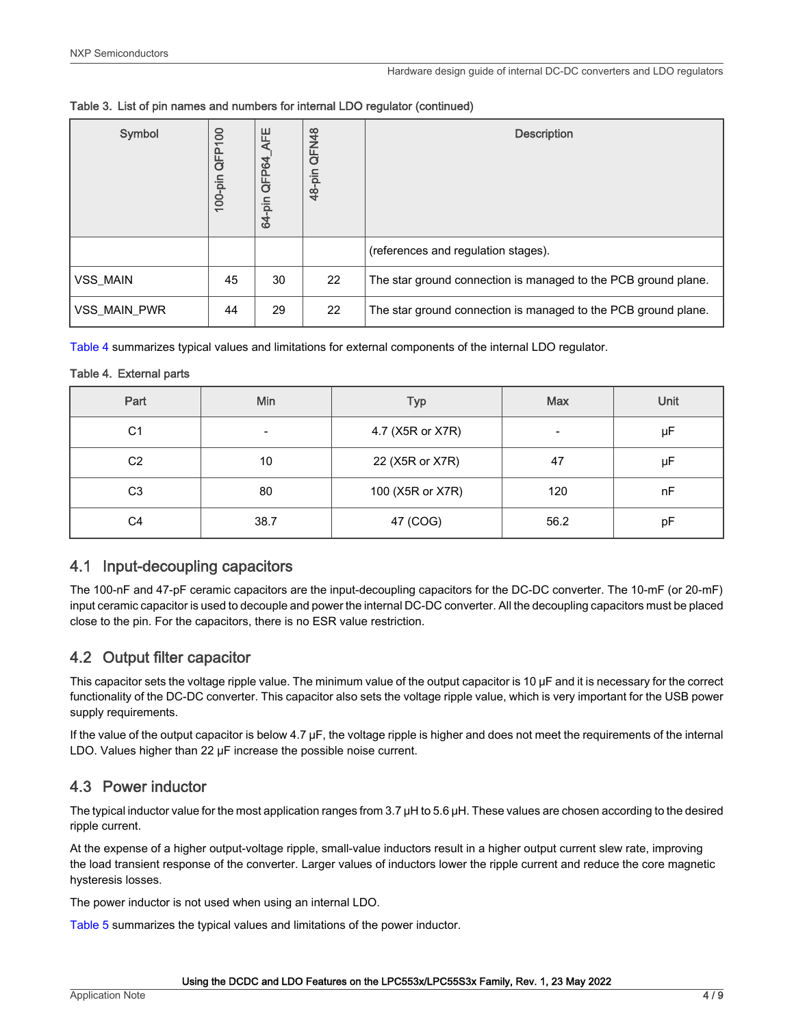| Symbol       | 8<br>QFP<br>$100$ -pin | AFE<br>QFP64<br>64-pin | QFN48<br>48-pin | <b>Description</b>                                             |
|--------------|------------------------|------------------------|-----------------|----------------------------------------------------------------|
|              |                        |                        |                 | (references and regulation stages).                            |
| VSS_MAIN     | 45                     | 30                     | 22              | The star ground connection is managed to the PCB ground plane. |
| VSS MAIN PWR | 44                     | 29                     | 22              | The star ground connection is managed to the PCB ground plane. |

Table 4 summarizes typical values and limitations for external components of the internal LDO regulator.

#### Table 4. External parts

| Part           | Min  | <b>Typ</b>       | <b>Max</b> | Unit |
|----------------|------|------------------|------------|------|
| C <sub>1</sub> | -    | 4.7 (X5R or X7R) | -          | μF   |
| C <sub>2</sub> | 10   | 22 (X5R or X7R)  | 47         | μF   |
| C <sub>3</sub> | 80   | 100 (X5R or X7R) | 120        | nF   |
| C4             | 38.7 | 47 (COG)         | 56.2       | pF   |

## 4.1 Input-decoupling capacitors

The 100-nF and 47-pF ceramic capacitors are the input-decoupling capacitors for the DC-DC converter. The 10-mF (or 20-mF) input ceramic capacitor is used to decouple and power the internal DC-DC converter. All the decoupling capacitors must be placed close to the pin. For the capacitors, there is no ESR value restriction.

## 4.2 Output filter capacitor

This capacitor sets the voltage ripple value. The minimum value of the output capacitor is 10 μF and it is necessary for the correct functionality of the DC-DC converter. This capacitor also sets the voltage ripple value, which is very important for the USB power supply requirements.

If the value of the output capacitor is below 4.7 μF, the voltage ripple is higher and does not meet the requirements of the internal LDO. Values higher than 22 μF increase the possible noise current.

## 4.3 Power inductor

The typical inductor value for the most application ranges from 3.7 μH to 5.6 μH. These values are chosen according to the desired ripple current.

At the expense of a higher output-voltage ripple, small-value inductors result in a higher output current slew rate, improving the load transient response of the converter. Larger values of inductors lower the ripple current and reduce the core magnetic hysteresis losses.

The power inductor is not used when using an internal LDO.

[Table 5](#page-4-0) summarizes the typical values and limitations of the power inductor.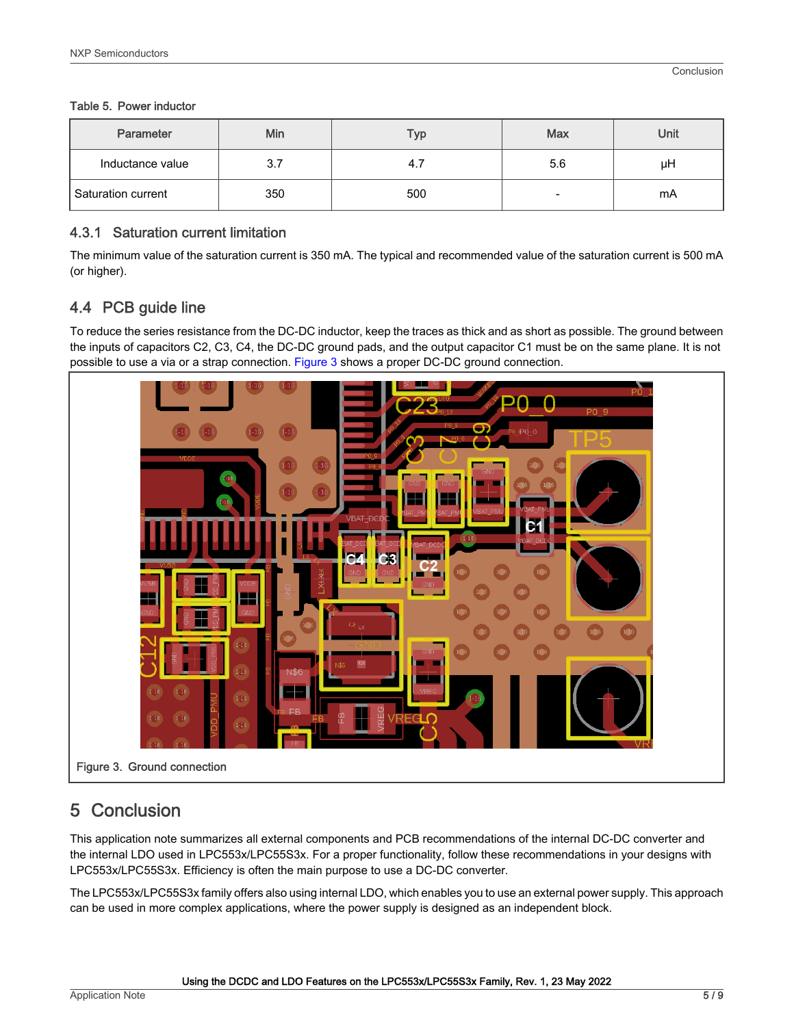#### <span id="page-4-0"></span>Table 5. Power inductor

| Parameter            | Min | Тур | <b>Max</b> | Unit |
|----------------------|-----|-----|------------|------|
| Inductance value     | 3.7 | 4., | 5.6        | μH   |
| l Saturation current | 350 | 500 | -          | mA   |

#### 4.3.1 Saturation current limitation

The minimum value of the saturation current is 350 mA. The typical and recommended value of the saturation current is 500 mA (or higher).

## 4.4 PCB guide line

To reduce the series resistance from the DC-DC inductor, keep the traces as thick and as short as possible. The ground between the inputs of capacitors C2, C3, C4, the DC-DC ground pads, and the output capacitor C1 must be on the same plane. It is not possible to use a via or a strap connection. Figure 3 shows a proper DC-DC ground connection.



# 5 Conclusion

This application note summarizes all external components and PCB recommendations of the internal DC-DC converter and the internal LDO used in LPC553x/LPC55S3x. For a proper functionality, follow these recommendations in your designs with LPC553x/LPC55S3x. Efficiency is often the main purpose to use a DC-DC converter.

The LPC553x/LPC55S3x family offers also using internal LDO, which enables you to use an external power supply. This approach can be used in more complex applications, where the power supply is designed as an independent block.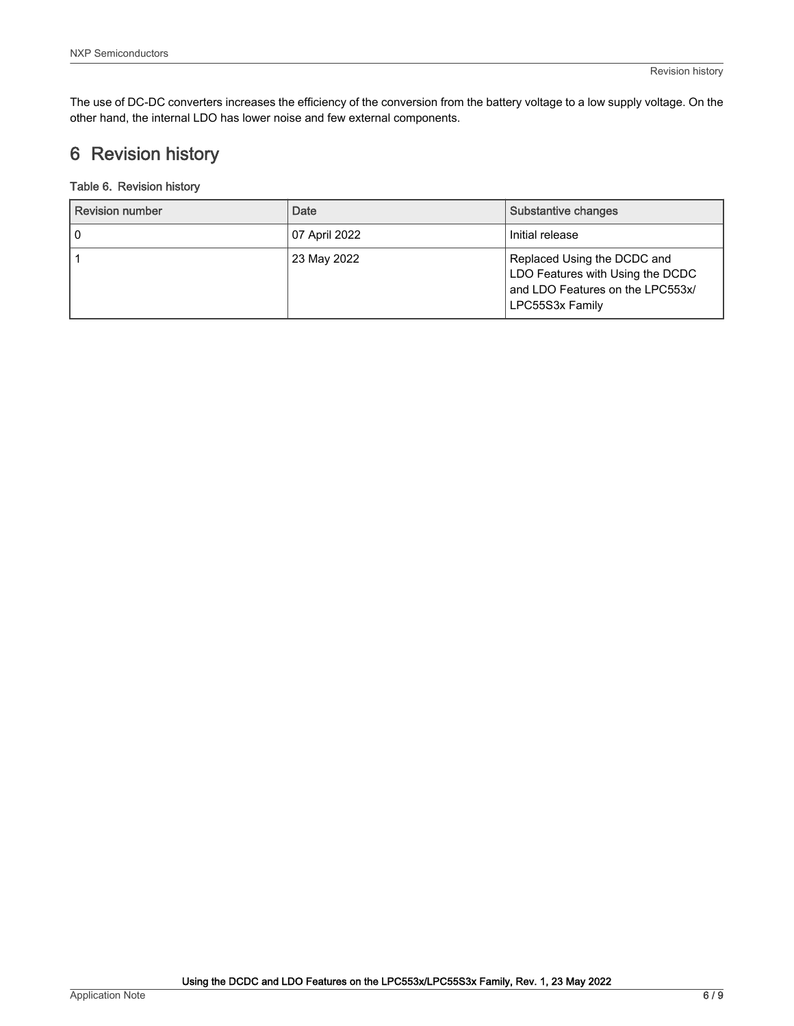<span id="page-5-0"></span>The use of DC-DC converters increases the efficiency of the conversion from the battery voltage to a low supply voltage. On the other hand, the internal LDO has lower noise and few external components.

# 6 Revision history

#### Table 6. Revision history

| <b>Revision number</b> | Date          | Substantive changes                                                                                                    |
|------------------------|---------------|------------------------------------------------------------------------------------------------------------------------|
| 0                      | 07 April 2022 | Initial release                                                                                                        |
|                        | 23 May 2022   | Replaced Using the DCDC and<br>LDO Features with Using the DCDC<br>and LDO Features on the LPC553x/<br>LPC55S3x Family |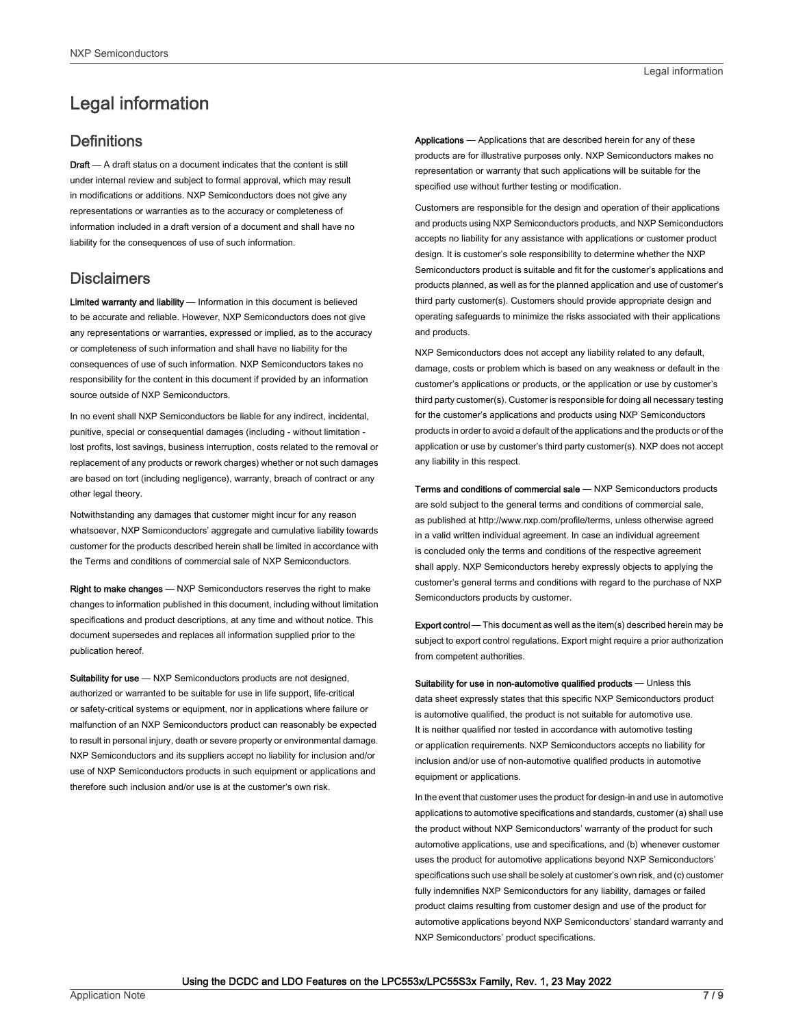# <span id="page-6-0"></span>Legal information

## **Definitions**

Draft - A draft status on a document indicates that the content is still under internal review and subject to formal approval, which may result in modifications or additions. NXP Semiconductors does not give any representations or warranties as to the accuracy or completeness of information included in a draft version of a document and shall have no liability for the consequences of use of such information.

## **Disclaimers**

Limited warranty and liability - Information in this document is believed to be accurate and reliable. However, NXP Semiconductors does not give any representations or warranties, expressed or implied, as to the accuracy or completeness of such information and shall have no liability for the consequences of use of such information. NXP Semiconductors takes no responsibility for the content in this document if provided by an information source outside of NXP Semiconductors.

In no event shall NXP Semiconductors be liable for any indirect, incidental, punitive, special or consequential damages (including - without limitation lost profits, lost savings, business interruption, costs related to the removal or replacement of any products or rework charges) whether or not such damages are based on tort (including negligence), warranty, breach of contract or any other legal theory.

Notwithstanding any damages that customer might incur for any reason whatsoever, NXP Semiconductors' aggregate and cumulative liability towards customer for the products described herein shall be limited in accordance with the Terms and conditions of commercial sale of NXP Semiconductors.

Right to make changes — NXP Semiconductors reserves the right to make changes to information published in this document, including without limitation specifications and product descriptions, at any time and without notice. This document supersedes and replaces all information supplied prior to the publication hereof.

Suitability for use - NXP Semiconductors products are not designed, authorized or warranted to be suitable for use in life support, life-critical or safety-critical systems or equipment, nor in applications where failure or malfunction of an NXP Semiconductors product can reasonably be expected to result in personal injury, death or severe property or environmental damage. NXP Semiconductors and its suppliers accept no liability for inclusion and/or use of NXP Semiconductors products in such equipment or applications and therefore such inclusion and/or use is at the customer's own risk.

Applications — Applications that are described herein for any of these products are for illustrative purposes only. NXP Semiconductors makes no representation or warranty that such applications will be suitable for the specified use without further testing or modification.

Customers are responsible for the design and operation of their applications and products using NXP Semiconductors products, and NXP Semiconductors accepts no liability for any assistance with applications or customer product design. It is customer's sole responsibility to determine whether the NXP Semiconductors product is suitable and fit for the customer's applications and products planned, as well as for the planned application and use of customer's third party customer(s). Customers should provide appropriate design and operating safeguards to minimize the risks associated with their applications and products.

NXP Semiconductors does not accept any liability related to any default, damage, costs or problem which is based on any weakness or default in the customer's applications or products, or the application or use by customer's third party customer(s). Customer is responsible for doing all necessary testing for the customer's applications and products using NXP Semiconductors products in order to avoid a default of the applications and the products or of the application or use by customer's third party customer(s). NXP does not accept any liability in this respect.

Terms and conditions of commercial sale — NXP Semiconductors products are sold subject to the general terms and conditions of commercial sale, as published at http://www.nxp.com/profile/terms, unless otherwise agreed in a valid written individual agreement. In case an individual agreement is concluded only the terms and conditions of the respective agreement shall apply. NXP Semiconductors hereby expressly objects to applying the customer's general terms and conditions with regard to the purchase of NXP Semiconductors products by customer.

Export control - This document as well as the item(s) described herein may be subject to export control regulations. Export might require a prior authorization from competent authorities.

Suitability for use in non-automotive qualified products - Unless this data sheet expressly states that this specific NXP Semiconductors product is automotive qualified, the product is not suitable for automotive use. It is neither qualified nor tested in accordance with automotive testing or application requirements. NXP Semiconductors accepts no liability for inclusion and/or use of non-automotive qualified products in automotive equipment or applications.

In the event that customer uses the product for design-in and use in automotive applications to automotive specifications and standards, customer (a) shall use the product without NXP Semiconductors' warranty of the product for such automotive applications, use and specifications, and (b) whenever customer uses the product for automotive applications beyond NXP Semiconductors' specifications such use shall be solely at customer's own risk, and (c) customer fully indemnifies NXP Semiconductors for any liability, damages or failed product claims resulting from customer design and use of the product for automotive applications beyond NXP Semiconductors' standard warranty and NXP Semiconductors' product specifications.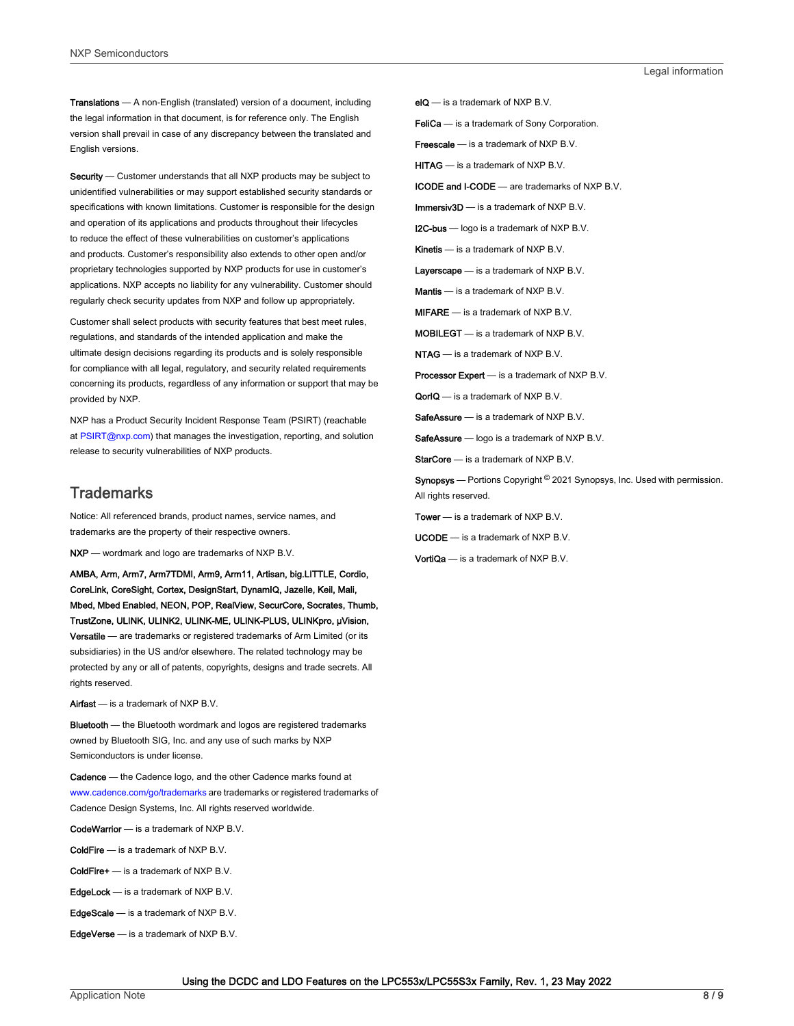Translations — A non-English (translated) version of a document, including the legal information in that document, is for reference only. The English version shall prevail in case of any discrepancy between the translated and English versions.

Security - Customer understands that all NXP products may be subject to unidentified vulnerabilities or may support established security standards or specifications with known limitations. Customer is responsible for the design and operation of its applications and products throughout their lifecycles to reduce the effect of these vulnerabilities on customer's applications and products. Customer's responsibility also extends to other open and/or proprietary technologies supported by NXP products for use in customer's applications. NXP accepts no liability for any vulnerability. Customer should regularly check security updates from NXP and follow up appropriately.

Customer shall select products with security features that best meet rules, regulations, and standards of the intended application and make the ultimate design decisions regarding its products and is solely responsible for compliance with all legal, regulatory, and security related requirements concerning its products, regardless of any information or support that may be provided by NXP.

NXP has a Product Security Incident Response Team (PSIRT) (reachable at [PSIRT@nxp.com\)](mailto:PSIRT@nxp.com) that manages the investigation, reporting, and solution release to security vulnerabilities of NXP products.

#### **Trademarks**

Notice: All referenced brands, product names, service names, and trademarks are the property of their respective owners.

NXP — wordmark and logo are trademarks of NXP B.V.

AMBA, Arm, Arm7, Arm7TDMI, Arm9, Arm11, Artisan, big.LITTLE, Cordio, CoreLink, CoreSight, Cortex, DesignStart, DynamIQ, Jazelle, Keil, Mali, Mbed, Mbed Enabled, NEON, POP, RealView, SecurCore, Socrates, Thumb, TrustZone, ULINK, ULINK2, ULINK-ME, ULINK-PLUS, ULINKpro, μVision, Versatile — are trademarks or registered trademarks of Arm Limited (or its subsidiaries) in the US and/or elsewhere. The related technology may be protected by any or all of patents, copyrights, designs and trade secrets. All rights reserved.

Airfast — is a trademark of NXP B.V.

**Bluetooth** — the Bluetooth wordmark and logos are registered trademarks owned by Bluetooth SIG, Inc. and any use of such marks by NXP Semiconductors is under license.

Cadence — the Cadence logo, and the other Cadence marks found at [www.cadence.com/go/trademarks](http://www.cadence.com/go/trademarks) are trademarks or registered trademarks of Cadence Design Systems, Inc. All rights reserved worldwide.

CodeWarrior — is a trademark of NXP B.V.

- ColdFire is a trademark of NXP B.V.
- ColdFire+ is a trademark of NXP B.V.
- EdgeLock is a trademark of NXP B.V.
- EdgeScale is a trademark of NXP B.V.
- EdgeVerse is a trademark of NXP B.V.

elQ - is a trademark of NXP B.V.

FeliCa - is a trademark of Sony Corporation.

**Freescale** — is a trademark of NXP B.V.

HITAG — is a trademark of NXP B.V.

ICODE and I-CODE — are trademarks of NXP B.V.

Immersiv3D — is a trademark of NXP B.V.

**I2C-bus** — logo is a trademark of NXP B.V.

Kinetis - is a trademark of NXP B.V.

Layerscape - is a trademark of NXP B.V.

Mantis - is a trademark of NXP B.V.

MIFARE — is a trademark of NXP B.V.

MOBILEGT — is a trademark of NXP B.V.

NTAG — is a trademark of NXP B.V.

Processor Expert - is a trademark of NXP B.V.

QorIQ - is a trademark of NXP B.V.

SafeAssure — is a trademark of NXP B.V.

SafeAssure - logo is a trademark of NXP B.V.

StarCore - is a trademark of NXP B.V.

Synopsys - Portions Copyright <sup>©</sup> 2021 Synopsys, Inc. Used with permission. All rights reserved.

Tower — is a trademark of NXP B.V.

UCODE — is a trademark of NXP B.V.

VortiQa — is a trademark of NXP B.V.